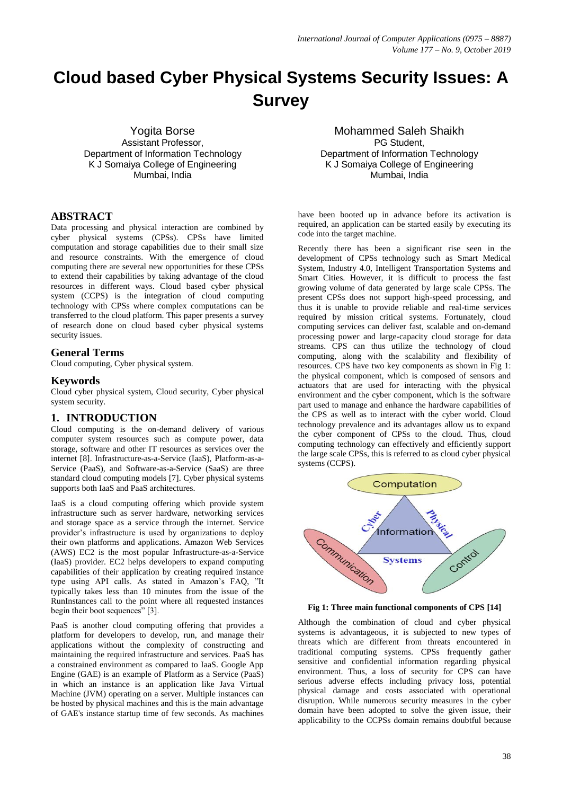# **Cloud based Cyber Physical Systems Security Issues: A Survey**

Yogita Borse Assistant Professor, Department of Information Technology K J Somaiya College of Engineering Mumbai, India

# **ABSTRACT**

Data processing and physical interaction are combined by cyber physical systems (CPSs). CPSs have limited computation and storage capabilities due to their small size and resource constraints. With the emergence of cloud computing there are several new opportunities for these CPSs to extend their capabilities by taking advantage of the cloud resources in different ways. Cloud based cyber physical system (CCPS) is the integration of cloud computing technology with CPSs where complex computations can be transferred to the cloud platform. This paper presents a survey of research done on cloud based cyber physical systems security issues.

#### **General Terms**

Cloud computing, Cyber physical system.

#### **Keywords**

Cloud cyber physical system, Cloud security, Cyber physical system security.

# **1. INTRODUCTION**

Cloud computing is the on-demand delivery of various computer system resources such as compute power, data storage, software and other IT resources as services over the internet [8]. Infrastructure-as-a-Service (IaaS), Platform-as-a-Service (PaaS), and Software-as-a-Service (SaaS) are three standard cloud computing models [7]. Cyber physical systems supports both IaaS and PaaS architectures.

IaaS is a cloud computing offering which provide system infrastructure such as server hardware, networking services and storage space as a service through the internet. Service provider's infrastructure is used by organizations to deploy their own platforms and applications. Amazon Web Services (AWS) EC2 is the most popular Infrastructure-as-a-Service (IaaS) provider. EC2 helps developers to expand computing capabilities of their application by creating required instance type using API calls. As stated in Amazon's FAQ, "It typically takes less than 10 minutes from the issue of the RunInstances call to the point where all requested instances begin their boot sequences" [3].

PaaS is another cloud computing offering that provides a platform for developers to develop, run, and manage their applications without the complexity of constructing and maintaining the required infrastructure and services. PaaS has a constrained environment as compared to IaaS. Google App Engine (GAE) is an example of Platform as a Service (PaaS) in which an instance is an application like Java Virtual Machine (JVM) operating on a server. Multiple instances can be hosted by physical machines and this is the main advantage of GAE's instance startup time of few seconds. As machines

Mohammed Saleh Shaikh PG Student, Department of Information Technology K J Somaiya College of Engineering Mumbai, India

have been booted up in advance before its activation is required, an application can be started easily by executing its code into the target machine.

Recently there has been a significant rise seen in the development of CPSs technology such as Smart Medical System, Industry 4.0, Intelligent Transportation Systems and Smart Cities. However, it is difficult to process the fast growing volume of data generated by large scale CPSs. The present CPSs does not support high-speed processing, and thus it is unable to provide reliable and real-time services required by mission critical systems. Fortunately, cloud computing services can deliver fast, scalable and on-demand processing power and large-capacity cloud storage for data streams. CPS can thus utilize the technology of cloud computing, along with the scalability and flexibility of resources. CPS have two key components as shown in Fig 1: the physical component, which is composed of sensors and actuators that are used for interacting with the physical environment and the cyber component, which is the software part used to manage and enhance the hardware capabilities of the CPS as well as to interact with the cyber world. Cloud technology prevalence and its advantages allow us to expand the cyber component of CPSs to the cloud. Thus, cloud computing technology can effectively and efficiently support the large scale CPSs, this is referred to as cloud cyber physical systems (CCPS).



**Fig 1: Three main functional components of CPS [14]**

Although the combination of cloud and cyber physical systems is advantageous, it is subjected to new types of threats which are different from threats encountered in traditional computing systems. CPSs frequently gather sensitive and confidential information regarding physical environment. Thus, a loss of security for CPS can have serious adverse effects including privacy loss, potential physical damage and costs associated with operational disruption. While numerous security measures in the cyber domain have been adopted to solve the given issue, their applicability to the CCPSs domain remains doubtful because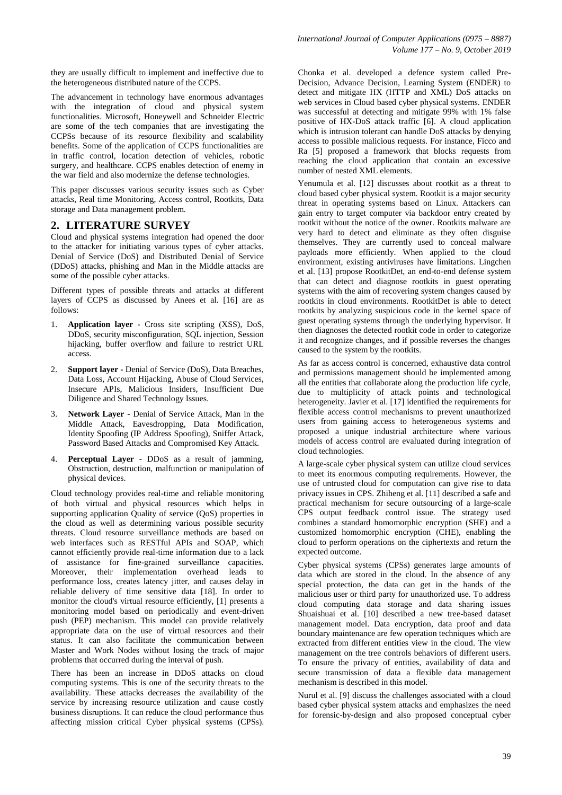they are usually difficult to implement and ineffective due to the heterogeneous distributed nature of the CCPS.

The advancement in technology have enormous advantages with the integration of cloud and physical system functionalities. Microsoft, Honeywell and Schneider Electric are some of the tech companies that are investigating the CCPSs because of its resource flexibility and scalability benefits. Some of the application of CCPS functionalities are in traffic control, location detection of vehicles, robotic surgery, and healthcare. CCPS enables detection of enemy in the war field and also modernize the defense technologies.

This paper discusses various security issues such as Cyber attacks, Real time Monitoring, Access control, Rootkits, Data storage and Data management problem.

# **2. LITERATURE SURVEY**

Cloud and physical systems integration had opened the door to the attacker for initiating various types of cyber attacks. Denial of Service (DoS) and Distributed Denial of Service (DDoS) attacks, phishing and Man in the Middle attacks are some of the possible cyber attacks.

Different types of possible threats and attacks at different layers of CCPS as discussed by Anees et al. [16] are as follows:

- 1. **Application layer -** Cross site scripting (XSS), DoS, DDoS, security misconfiguration, SQL injection, Session hijacking, buffer overflow and failure to restrict URL access.
- 2. **Support layer -** Denial of Service (DoS), Data Breaches, Data Loss, Account Hijacking, Abuse of Cloud Services, Insecure APIs, Malicious Insiders, Insufficient Due Diligence and Shared Technology Issues.
- 3. **Network Layer -** Denial of Service Attack, Man in the Middle Attack, Eavesdropping, Data Modification, Identity Spoofing (IP Address Spoofing), Sniffer Attack, Password Based Attacks and Compromised Key Attack.
- 4. **Perceptual Layer -** DDoS as a result of jamming, Obstruction, destruction, malfunction or manipulation of physical devices.

Cloud technology provides real-time and reliable monitoring of both virtual and physical resources which helps in supporting application Quality of service (QoS) properties in the cloud as well as determining various possible security threats. Cloud resource surveillance methods are based on web interfaces such as RESTful APIs and SOAP, which cannot efficiently provide real-time information due to a lack of assistance for fine-grained surveillance capacities. Moreover, their implementation overhead leads to performance loss, creates latency jitter, and causes delay in reliable delivery of time sensitive data [18]. In order to monitor the cloud's virtual resource efficiently, [1] presents a monitoring model based on periodically and event-driven push (PEP) mechanism. This model can provide relatively appropriate data on the use of virtual resources and their status. It can also facilitate the communication between Master and Work Nodes without losing the track of major problems that occurred during the interval of push.

There has been an increase in DDoS attacks on cloud computing systems. This is one of the security threats to the availability. These attacks decreases the availability of the service by increasing resource utilization and cause costly business disruptions. It can reduce the cloud performance thus affecting mission critical Cyber physical systems (CPSs). Chonka et al. developed a defence system called Pre-Decision, Advance Decision, Learning System (ENDER) to detect and mitigate HX (HTTP and XML) DoS attacks on web services in Cloud based cyber physical systems. ENDER was successful at detecting and mitigate 99% with 1% false positive of HX-DoS attack traffic [6]. A cloud application which is intrusion tolerant can handle DoS attacks by denying access to possible malicious requests. For instance, Ficco and Ra [5] proposed a framework that blocks requests from reaching the cloud application that contain an excessive number of nested XML elements.

Yenumula et al. [12] discusses about rootkit as a threat to cloud based cyber physical system. Rootkit is a major security threat in operating systems based on Linux. Attackers can gain entry to target computer via backdoor entry created by rootkit without the notice of the owner. Rootkits malware are very hard to detect and eliminate as they often disguise themselves. They are currently used to conceal malware payloads more efficiently. When applied to the cloud environment, existing antiviruses have limitations. Lingchen et al. [13] propose RootkitDet, an end-to-end defense system that can detect and diagnose rootkits in guest operating systems with the aim of recovering system changes caused by rootkits in cloud environments. RootkitDet is able to detect rootkits by analyzing suspicious code in the kernel space of guest operating systems through the underlying hypervisor. It then diagnoses the detected rootkit code in order to categorize it and recognize changes, and if possible reverses the changes caused to the system by the rootkits.

As far as access control is concerned, exhaustive data control and permissions management should be implemented among all the entities that collaborate along the production life cycle, due to multiplicity of attack points and technological heterogeneity. Javier et al. [17] identified the requirements for flexible access control mechanisms to prevent unauthorized users from gaining access to heterogeneous systems and proposed a unique industrial architecture where various models of access control are evaluated during integration of cloud technologies.

A large-scale cyber physical system can utilize cloud services to meet its enormous computing requirements. However, the use of untrusted cloud for computation can give rise to data privacy issues in CPS. Zhiheng et al. [11] described a safe and practical mechanism for secure outsourcing of a large-scale CPS output feedback control issue. The strategy used combines a standard homomorphic encryption (SHE) and a customized homomorphic encryption (CHE), enabling the cloud to perform operations on the ciphertexts and return the expected outcome.

Cyber physical systems (CPSs) generates large amounts of data which are stored in the cloud. In the absence of any special protection, the data can get in the hands of the malicious user or third party for unauthorized use. To address cloud computing data storage and data sharing issues Shuaishuai et al. [10] described a new tree-based dataset management model. Data encryption, data proof and data boundary maintenance are few operation techniques which are extracted from different entities view in the cloud. The view management on the tree controls behaviors of different users. To ensure the privacy of entities, availability of data and secure transmission of data a flexible data management mechanism is described in this model.

Nurul et al. [9] discuss the challenges associated with a cloud based cyber physical system attacks and emphasizes the need for forensic-by-design and also proposed conceptual cyber